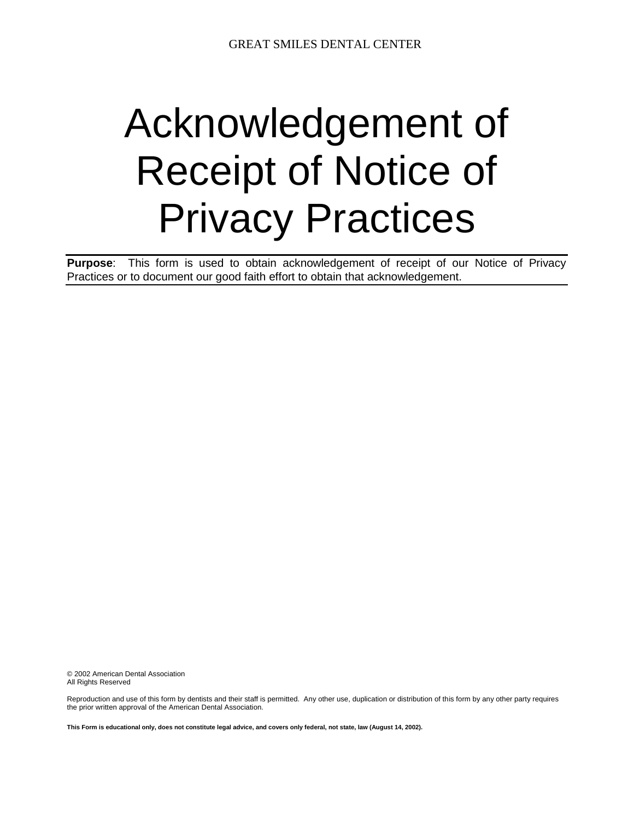## Acknowledgement of Receipt of Notice of Privacy Practices

**Purpose**: This form is used to obtain acknowledgement of receipt of our Notice of Privacy Practices or to document our good faith effort to obtain that acknowledgement.

© 2002 American Dental Association All Rights Reserved

Reproduction and use of this form by dentists and their staff is permitted. Any other use, duplication or distribution of this form by any other party requires the prior written approval of the American Dental Association.

**This Form is educational only, does not constitute legal advice, and covers only federal, not state, law (August 14, 2002).**